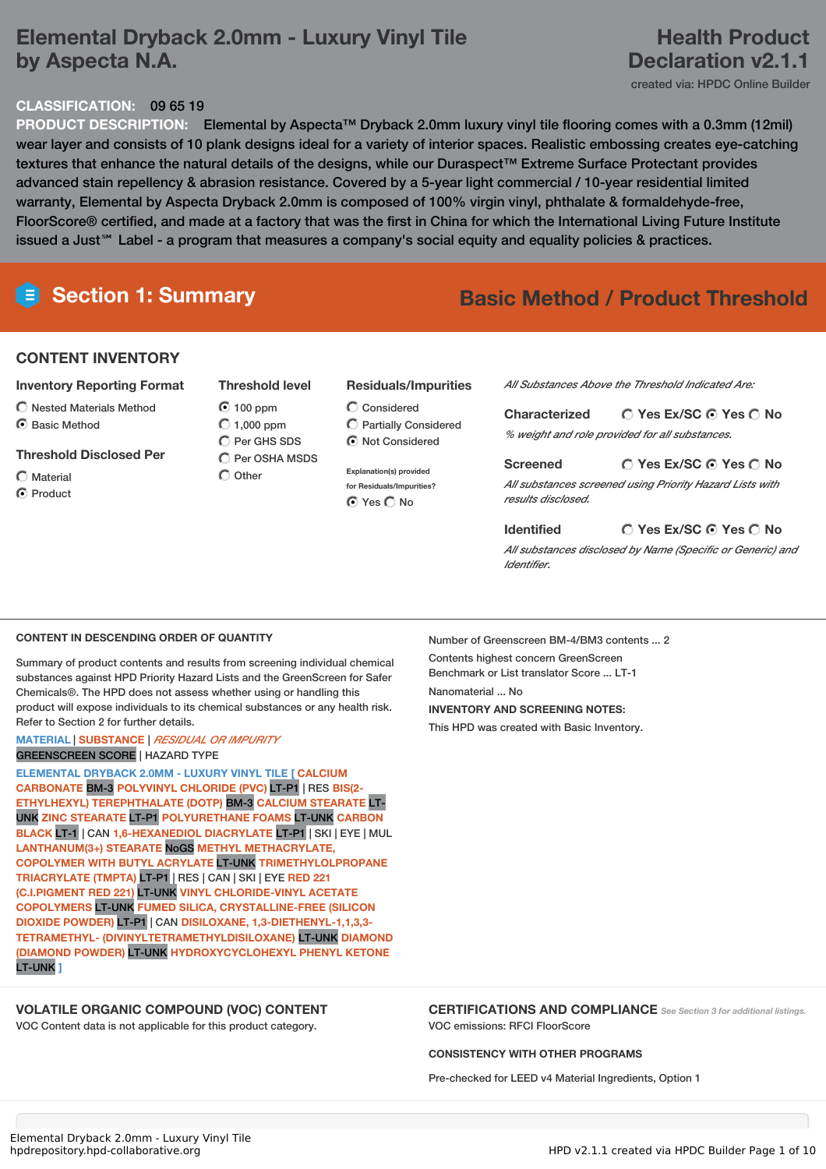## **Elemental Dryback 2.0mm - Luxury Vinyl Tile by Aspecta N.A.**

## **Health Product Declaration v2.1.1**

created via: HPDC Online Builder

## **CLASSIFICATION:** 09 65 19

**PRODUCT DESCRIPTION:** Elemental by Aspecta™ Dryback 2.0mm luxury vinyl tile flooring comes with a 0.3mm (12mil) wear layer and consists of 10 plank designs ideal for a variety of interior spaces. Realistic embossing creates eye-catching textures that enhance the natural details of the designs, while our Duraspect™ Extreme Surface Protectant provides advanced stain repellency & abrasion resistance. Covered by a 5-year light commercial / 10-year residential limited warranty, Elemental by Aspecta Dryback 2.0mm is composed of 100% virgin vinyl, phthalate & formaldehyde-free, FloorScore® certified, and made at a factory that was the first in China for which the International Living Future Institute issued a Just℠ Label - a program that measures a company's social equity and equality policies & practices.

# **Section 1: Summary Basic Method / Product Threshold**

### **CONTENT INVENTORY**

- **Inventory Reporting Format**
- Nested Materials Method
- ◯ Basic Method
- **Threshold Disclosed Per**
- $\bigcap$  Material C Product
- **Threshold level**  $O$  100 ppm
- $O$  1,000 ppm C Per GHS SDS  $\bigcirc$  Per OSHA MSDS  $\bigcirc$  Other
- Considered Partially Considered

 $\bigcirc$  Not Considered

**Residuals/Impurities**

**Explanation(s) provided for Residuals/Impurities?** ⊙ Yes O No

*All Substances Above the Threshold Indicated Are:*

| <b>Characterized</b> | $\bigcirc$ Yes Ex/SC $\bigcirc$ Yes $\bigcirc$ No |
|----------------------|---------------------------------------------------|
|                      | % weight and role provided for all substances.    |

**Yes Ex/SC Yes No Screened** *All substances screened using Priority Hazard Lists with results disclosed.*

#### **Yes Ex/SC Yes No Identified**

*All substances disclosed by Name (Specific or Generic) and Identifier.*

#### **CONTENT IN DESCENDING ORDER OF QUANTITY**

Summary of product contents and results from screening individual chemical substances against HPD Priority Hazard Lists and the GreenScreen for Safer Chemicals®. The HPD does not assess whether using or handling this product will expose individuals to its chemical substances or any health risk. Refer to Section 2 for further details.

#### **MATERIAL** | **SUBSTANCE** | *RESIDUAL OR IMPURITY* GREENSCREEN SCORE | HAZARD TYPE

**ELEMENTAL DRYBACK 2.0MM - LUXURY VINYL TILE [ CALCIUM CARBONATE** BM-3 **POLYVINYL CHLORIDE (PVC)** LT-P1 | RES **BIS(2- ETHYLHEXYL) TEREPHTHALATE (DOTP)** BM-3 **CALCIUM STEARATE** LT-UNK **ZINC STEARATE** LT-P1 **POLYURETHANE FOAMS** LT-UNK **CARBON BLACK** LT-1 | CAN **1,6-HEXANEDIOL DIACRYLATE** LT-P1 | SKI | EYE | MUL **LANTHANUM(3+) STEARATE** NoGS **METHYL METHACRYLATE, COPOLYMER WITH BUTYL ACRYLATE** LT-UNK **TRIMETHYLOLPROPANE TRIACRYLATE (TMPTA)** LT-P1 | RES | CAN | SKI | EYE **RED 221 (C.I.PIGMENT RED 221)** LT-UNK **VINYL CHLORIDE-VINYL ACETATE COPOLYMERS** LT-UNK **FUMED SILICA, CRYSTALLINE-FREE (SILICON DIOXIDE POWDER)** LT-P1 | CAN **DISILOXANE, 1,3-DIETHENYL-1,1,3,3- TETRAMETHYL- (DIVINYLTETRAMETHYLDISILOXANE)** LT-UNK **DIAMOND (DIAMOND POWDER)** LT-UNK **HYDROXYCYCLOHEXYL PHENYL KETONE** LT-UNK **]**

### **VOLATILE ORGANIC COMPOUND (VOC) CONTENT**

VOC Content data is not applicable for this product category.

Number of Greenscreen BM-4/BM3 contents ... 2 Contents highest concern GreenScreen Benchmark or List translator Score ... LT-1 Nanomaterial No. **INVENTORY AND SCREENING NOTES:** This HPD was created with Basic Inventory.

#### **CERTIFICATIONS AND COMPLIANCE** *See Section <sup>3</sup> for additional listings.* VOC emissions: RFCI FloorScore

#### **CONSISTENCY WITH OTHER PROGRAMS**

Pre-checked for LEED v4 Material Ingredients, Option 1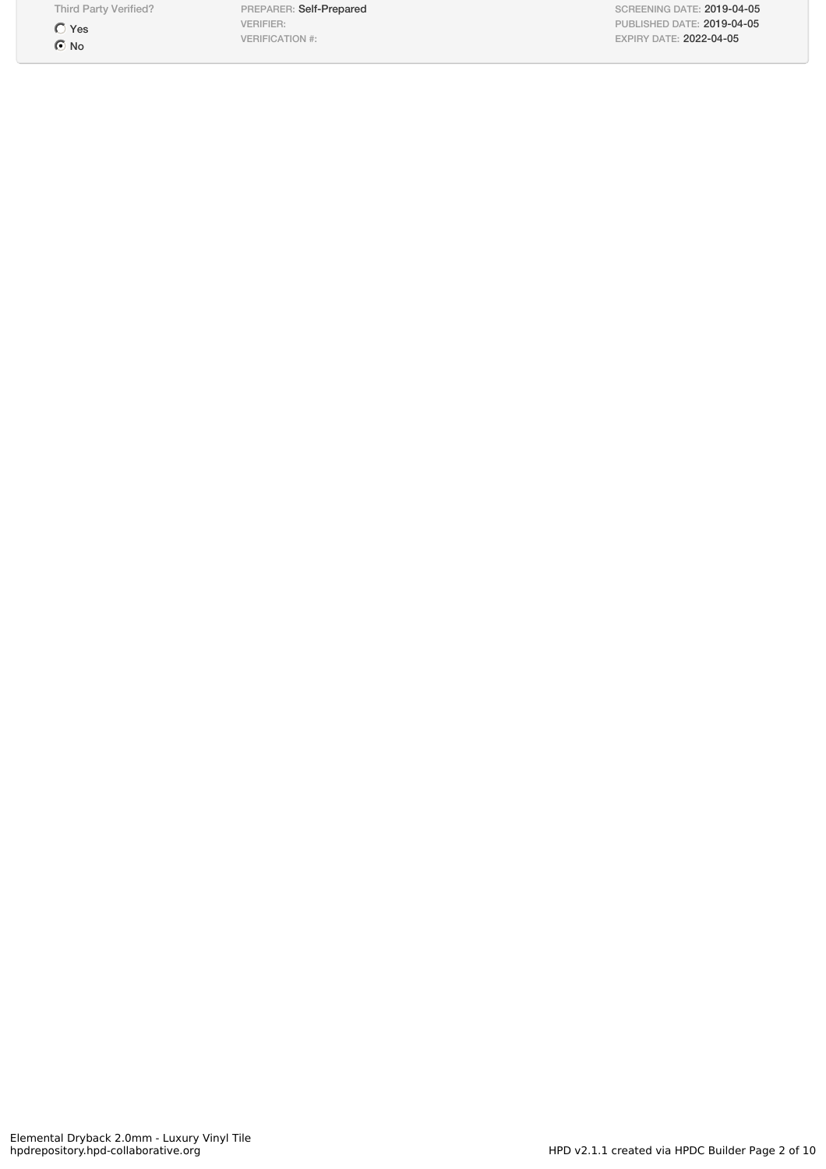Third Party Verified?

 $\bigcirc$  Yes  $\odot$  No

PREPARER: Self-Prepared VERIFIER: VERIFICATION #:

SCREENING DATE: 2019-04-05 PUBLISHED DATE: 2019-04-05 EXPIRY DATE: 2022-04-05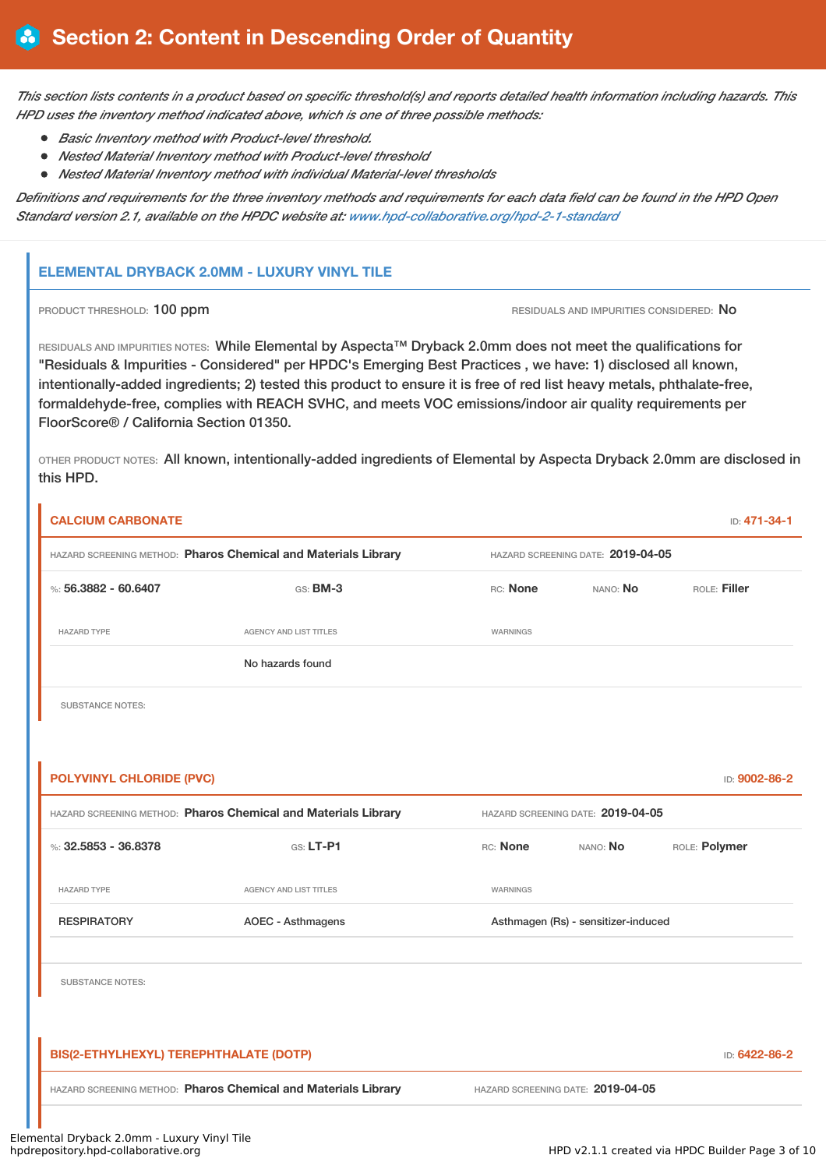This section lists contents in a product based on specific threshold(s) and reports detailed health information including hazards. This *HPD uses the inventory method indicated above, which is one of three possible methods:*

- *Basic Inventory method with Product-level threshold.*
- *Nested Material Inventory method with Product-level threshold*
- *Nested Material Inventory method with individual Material-level thresholds*

Definitions and requirements for the three inventory methods and requirements for each data field can be found in the HPD Open *Standard version 2.1, available on the HPDC website at: [www.hpd-collaborative.org/hpd-2-1-standard](http://www.hpd-collaborative.org/hpd-2-1-standard)*

### **ELEMENTAL DRYBACK 2.0MM - LUXURY VINYL TILE**

PRODUCT THRESHOLD: 100 ppm **RESIDUALS AND IMPURITIES CONSIDERED:** No

RESIDUALS AND IMPURITIES NOTES: While Elemental by Aspecta™ Dryback 2.0mm does not meet the qualifications for "Residuals & Impurities - Considered" per HPDC's Emerging Best Practices , we have: 1) disclosed all known, intentionally-added ingredients; 2) tested this product to ensure it is free of red list heavy metals, phthalate-free, formaldehyde-free, complies with REACH SVHC, and meets VOC emissions/indoor air quality requirements per FloorScore® / California Section 01350.

OTHER PRODUCT NOTES: All known, intentionally-added ingredients of Elemental by Aspecta Dryback 2.0mm are disclosed in this HPD.

| <b>CALCIUM CARBONATE</b>               |                                                                |                 |                                     | ID: 471-34-1  |
|----------------------------------------|----------------------------------------------------------------|-----------------|-------------------------------------|---------------|
|                                        | HAZARD SCREENING METHOD: Pharos Chemical and Materials Library |                 | HAZARD SCREENING DATE: 2019-04-05   |               |
| %: $56.3882 - 60.6407$                 | $GS:$ BM-3                                                     | RC: None        | NANO: No                            | ROLE: Filler  |
| <b>HAZARD TYPE</b>                     | <b>AGENCY AND LIST TITLES</b>                                  | <b>WARNINGS</b> |                                     |               |
|                                        | No hazards found                                               |                 |                                     |               |
| <b>SUBSTANCE NOTES:</b>                |                                                                |                 |                                     |               |
|                                        |                                                                |                 |                                     |               |
| <b>POLYVINYL CHLORIDE (PVC)</b>        |                                                                |                 |                                     | ID: 9002-86-2 |
|                                        | HAZARD SCREENING METHOD: Pharos Chemical and Materials Library |                 | HAZARD SCREENING DATE: 2019-04-05   |               |
| %: 32.5853 - 36.8378                   | <b>GS: LT-P1</b>                                               | RC: None        | NANO: No                            | ROLE: Polymer |
| <b>HAZARD TYPE</b>                     | AGENCY AND LIST TITLES                                         | WARNINGS        |                                     |               |
| <b>RESPIRATORY</b>                     | <b>AOEC - Asthmagens</b>                                       |                 | Asthmagen (Rs) - sensitizer-induced |               |
| <b>SUBSTANCE NOTES:</b>                |                                                                |                 |                                     |               |
|                                        |                                                                |                 |                                     |               |
| BIS(2-ETHYLHEXYL) TEREPHTHALATE (DOTP) |                                                                |                 |                                     | ID: 6422-86-2 |
|                                        | HAZARD SCREENING METHOD: Pharos Chemical and Materials Library |                 | HAZARD SCREENING DATE: 2019-04-05   |               |
|                                        |                                                                |                 |                                     |               |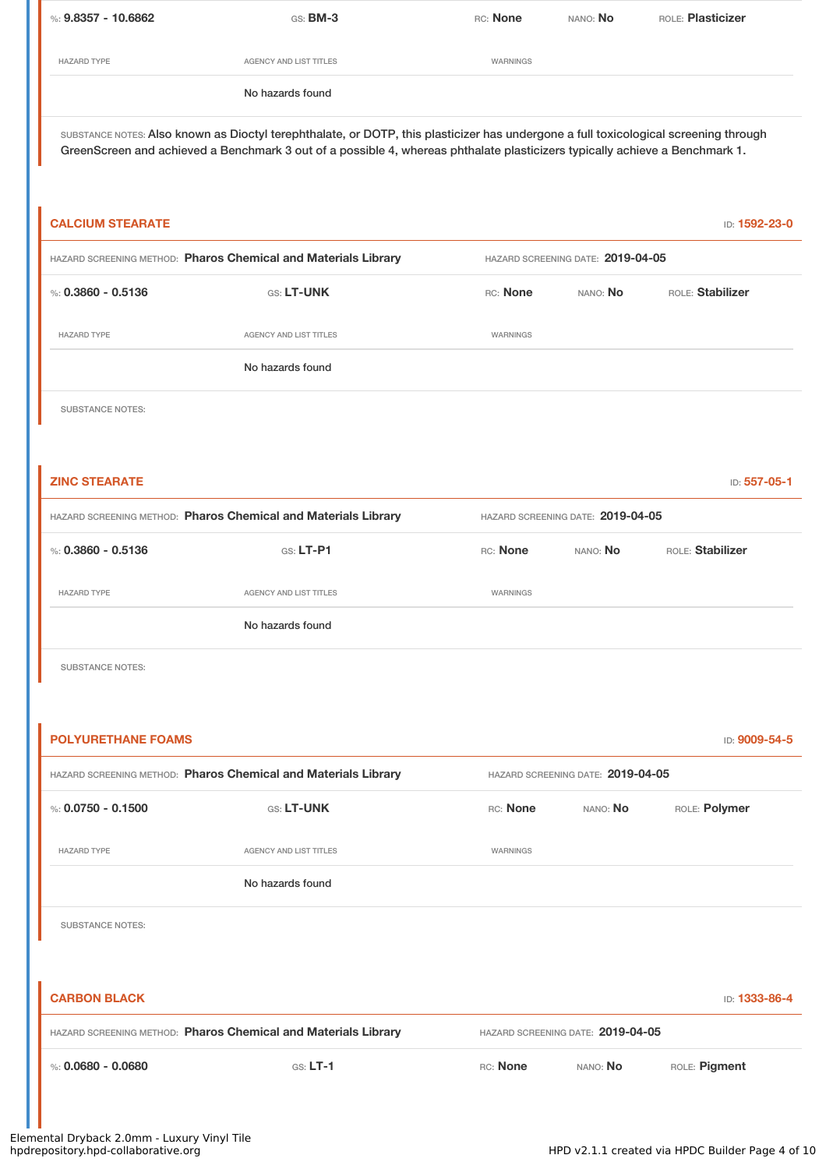| %: $9.8357 - 10.6862$ | $GS:$ BM-3                                                                                                                           | RC: None | nano: <b>No</b> | ROLE: <b>Plasticizer</b> |  |
|-----------------------|--------------------------------------------------------------------------------------------------------------------------------------|----------|-----------------|--------------------------|--|
| <b>HAZARD TYPE</b>    | AGENCY AND LIST TITLES                                                                                                               | WARNINGS |                 |                          |  |
|                       | No hazards found                                                                                                                     |          |                 |                          |  |
|                       | SUBSTANCE NOTES: Also known as Dioctyl terephthalate, or DOTP, this plasticizer has undergone a full toxicological screening through |          |                 |                          |  |

GreenScreen and achieved a Benchmark 3 out of a possible 4, whereas phthalate plasticizers typically achieve a Benchmark 1.

| <b>CALCIUM STEARATE</b>   |                                                                                                     |                                   |                                   | ID: 1592-23-0    |
|---------------------------|-----------------------------------------------------------------------------------------------------|-----------------------------------|-----------------------------------|------------------|
|                           | HAZARD SCREENING METHOD: Pharos Chemical and Materials Library<br>HAZARD SCREENING DATE: 2019-04-05 |                                   |                                   |                  |
| %: $0.3860 - 0.5136$      | GS: LT-UNK                                                                                          | RC: None                          | NANO: No                          | ROLE: Stabilizer |
| <b>HAZARD TYPE</b>        | <b>AGENCY AND LIST TITLES</b>                                                                       | <b>WARNINGS</b>                   |                                   |                  |
|                           | No hazards found                                                                                    |                                   |                                   |                  |
| <b>SUBSTANCE NOTES:</b>   |                                                                                                     |                                   |                                   |                  |
|                           |                                                                                                     |                                   |                                   |                  |
| <b>ZINC STEARATE</b>      |                                                                                                     |                                   |                                   | ID: 557-05-1     |
|                           | HAZARD SCREENING METHOD: Pharos Chemical and Materials Library                                      | HAZARD SCREENING DATE: 2019-04-05 |                                   |                  |
| %: $0.3860 - 0.5136$      | GS: LT-P1                                                                                           | RC: None                          | NANO: No                          | ROLE: Stabilizer |
| <b>HAZARD TYPE</b>        | AGENCY AND LIST TITLES                                                                              | WARNINGS                          |                                   |                  |
|                           | No hazards found                                                                                    |                                   |                                   |                  |
| <b>SUBSTANCE NOTES:</b>   |                                                                                                     |                                   |                                   |                  |
|                           |                                                                                                     |                                   |                                   |                  |
| <b>POLYURETHANE FOAMS</b> |                                                                                                     |                                   |                                   | ID: 9009-54-5    |
|                           | HAZARD SCREENING METHOD: Pharos Chemical and Materials Library                                      |                                   | HAZARD SCREENING DATE: 2019-04-05 |                  |
| %: $0.0750 - 0.1500$      | GS: LT-UNK                                                                                          | RC: None                          | NANO: No                          | ROLE: Polymer    |
| <b>HAZARD TYPE</b>        | AGENCY AND LIST TITLES                                                                              | WARNINGS                          |                                   |                  |
|                           | No hazards found                                                                                    |                                   |                                   |                  |

SUBSTANCE NOTES:

| <b>CARBON BLACK</b>                                            |            |                                   |                 | <b>ID: 1333-86-4</b> |
|----------------------------------------------------------------|------------|-----------------------------------|-----------------|----------------------|
| HAZARD SCREENING METHOD: Pharos Chemical and Materials Library |            | HAZARD SCREENING DATE: 2019-04-05 |                 |                      |
| %: 0.0680 - 0.0680                                             | $GS: LT-1$ | RC: None                          | nano: <b>No</b> | ROLE: Pigment        |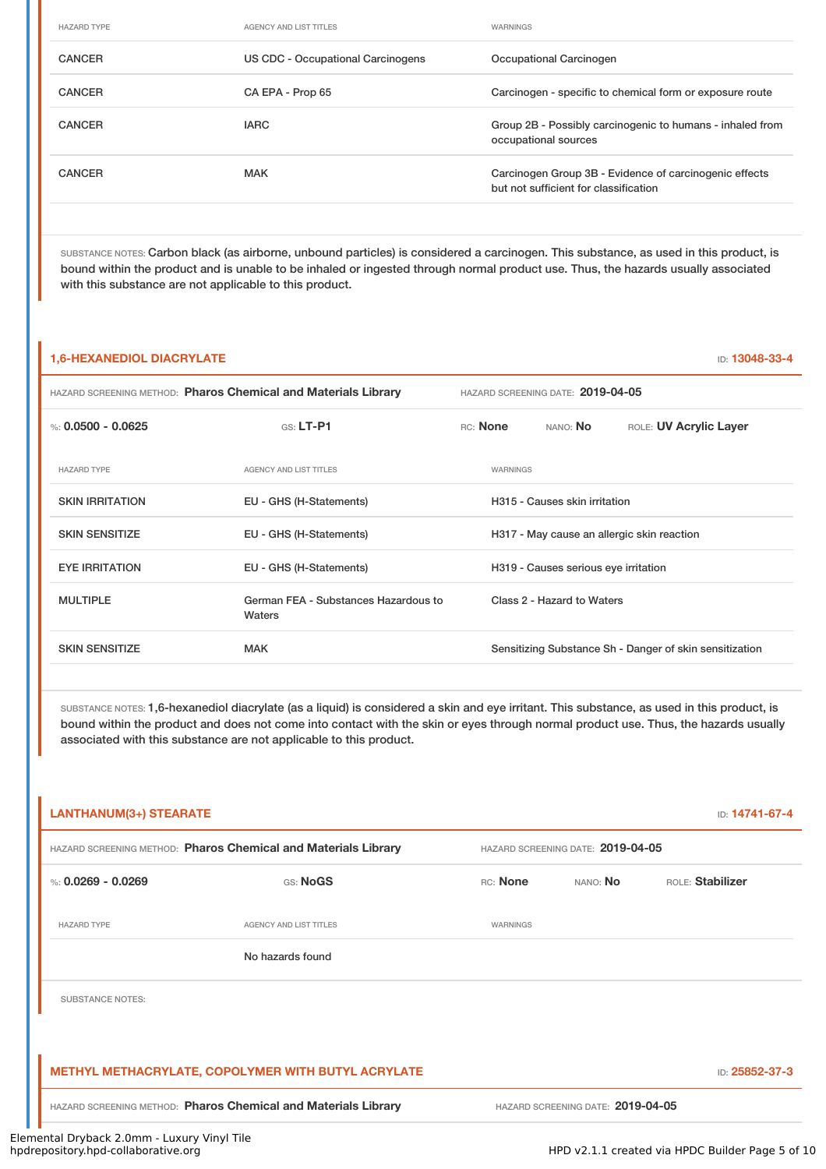| <b>HAZARD TYPE</b> | <b>AGENCY AND LIST TITLES</b>     | <b>WARNINGS</b>                                                                                 |
|--------------------|-----------------------------------|-------------------------------------------------------------------------------------------------|
| <b>CANCER</b>      | US CDC - Occupational Carcinogens | Occupational Carcinogen                                                                         |
| <b>CANCER</b>      | CA EPA - Prop 65                  | Carcinogen - specific to chemical form or exposure route                                        |
| <b>CANCER</b>      | <b>IARC</b>                       | Group 2B - Possibly carcinogenic to humans - inhaled from<br>occupational sources               |
| <b>CANCER</b>      | <b>MAK</b>                        | Carcinogen Group 3B - Evidence of carcinogenic effects<br>but not sufficient for classification |
|                    |                                   |                                                                                                 |

SUBSTANCE NOTES: Carbon black (as airborne, unbound particles) is considered a carcinogen. This substance, as used in this product, is bound within the product and is unable to be inhaled or ingested through normal product use. Thus, the hazards usually associated with this substance are not applicable to this product.

#### **1,6-HEXANEDIOL DIACRYLATE** ID: **13048-33-4**

| HAZARD SCREENING METHOD: Pharos Chemical and Materials Library |                                                | HAZARD SCREENING DATE: 2019-04-05 |          |                                      |                                                         |
|----------------------------------------------------------------|------------------------------------------------|-----------------------------------|----------|--------------------------------------|---------------------------------------------------------|
| %: $0.0500 - 0.0625$                                           | $GS: LT-P1$                                    |                                   | RC: None | NANO: No                             | ROLE: UV Acrylic Layer                                  |
| <b>HAZARD TYPE</b>                                             | <b>AGENCY AND LIST TITLES</b>                  |                                   | WARNINGS |                                      |                                                         |
| <b>SKIN IRRITATION</b>                                         | EU - GHS (H-Statements)                        |                                   |          | H315 - Causes skin irritation        |                                                         |
| <b>SKIN SENSITIZE</b>                                          | EU - GHS (H-Statements)                        |                                   |          |                                      | H317 - May cause an allergic skin reaction              |
| <b>EYE IRRITATION</b>                                          | EU - GHS (H-Statements)                        |                                   |          | H319 - Causes serious eye irritation |                                                         |
| <b>MULTIPLE</b>                                                | German FEA - Substances Hazardous to<br>Waters |                                   |          | Class 2 - Hazard to Waters           |                                                         |
| <b>SKIN SENSITIZE</b>                                          | <b>MAK</b>                                     |                                   |          |                                      | Sensitizing Substance Sh - Danger of skin sensitization |
|                                                                |                                                |                                   |          |                                      |                                                         |

SUBSTANCE NOTES: 1,6-hexanediol diacrylate (as a liquid) is considered a skin and eye irritant. This substance, as used in this product, is bound within the product and does not come into contact with the skin or eyes through normal product use. Thus, the hazards usually associated with this substance are not applicable to this product.

|                         | HAZARD SCREENING METHOD: Pharos Chemical and Materials Library |          | HAZARD SCREENING DATE: 2019-04-05 |                  |
|-------------------------|----------------------------------------------------------------|----------|-----------------------------------|------------------|
| %: $0.0269 - 0.0269$    | GS: NoGS                                                       | RC: None | NANO: No                          | ROLE: Stabilizer |
| <b>HAZARD TYPE</b>      | <b>AGENCY AND LIST TITLES</b>                                  | WARNINGS |                                   |                  |
|                         | No hazards found                                               |          |                                   |                  |
| <b>SUBSTANCE NOTES:</b> |                                                                |          |                                   |                  |
|                         |                                                                |          |                                   |                  |
|                         | <b>METHYL METHACRYLATE, COPOLYMER WITH BUTYL ACRYLATE</b>      |          |                                   | ID: 25852-37-3   |
|                         | HAZARD SCREENING METHOD: Pharos Chemical and Materials Library |          | HAZARD SCREENING DATE: 2019-04-05 |                  |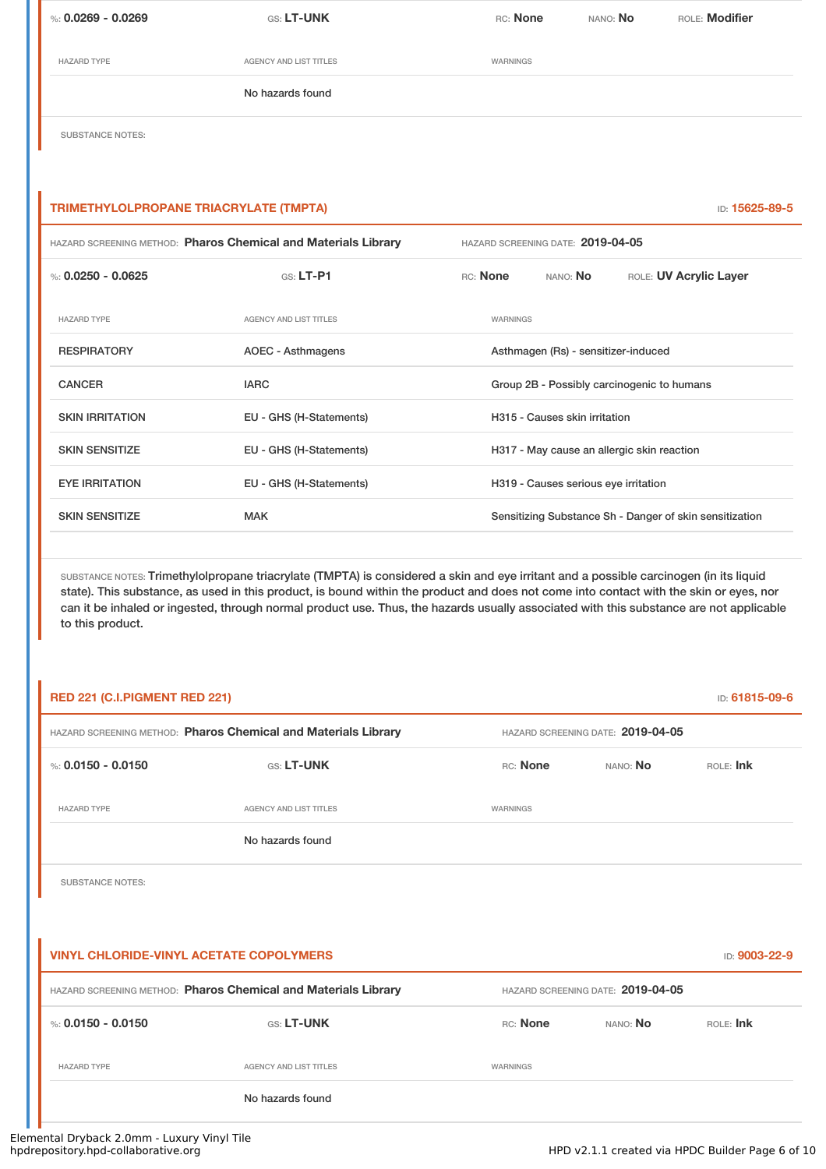| %: 0.0269 - 0.0269       | <b>GS: LT-UNK</b>      | RC: None | NANO: <b>No</b> | ROLE: <b>Modifier</b> |
|--------------------------|------------------------|----------|-----------------|-----------------------|
| <b>HAZARD TYPE</b>       | AGENCY AND LIST TITLES | WARNINGS |                 |                       |
|                          | No hazards found       |          |                 |                       |
| ________________________ |                        |          |                 |                       |

SUBSTANCE NOTES:

#### **TRIMETHYLOLPROPANE TRIACRYLATE (TMPTA)** ID: **15625-89-5**

| HAZARD SCREENING METHOD: Pharos Chemical and Materials Library |                               | HAZARD SCREENING DATE: 2019-04-05 |                 |                                      |                                                         |
|----------------------------------------------------------------|-------------------------------|-----------------------------------|-----------------|--------------------------------------|---------------------------------------------------------|
| %: $0.0250 - 0.0625$                                           | $G.S.$ LT-P1                  | RC: None                          |                 | NANO: <b>No</b>                      | ROLE: UV Acrylic Layer                                  |
| <b>HAZARD TYPE</b>                                             | <b>AGENCY AND LIST TITLES</b> |                                   | <b>WARNINGS</b> |                                      |                                                         |
| <b>RESPIRATORY</b>                                             | AOEC - Asthmagens             |                                   |                 | Asthmagen (Rs) - sensitizer-induced  |                                                         |
| <b>CANCER</b>                                                  | <b>IARC</b>                   |                                   |                 |                                      | Group 2B - Possibly carcinogenic to humans              |
| <b>SKIN IRRITATION</b>                                         | EU - GHS (H-Statements)       |                                   |                 | H315 - Causes skin irritation        |                                                         |
| <b>SKIN SENSITIZE</b>                                          | EU - GHS (H-Statements)       |                                   |                 |                                      | H317 - May cause an allergic skin reaction              |
| <b>EYE IRRITATION</b>                                          | EU - GHS (H-Statements)       |                                   |                 | H319 - Causes serious eye irritation |                                                         |
| <b>SKIN SENSITIZE</b>                                          | <b>MAK</b>                    |                                   |                 |                                      | Sensitizing Substance Sh - Danger of skin sensitization |
|                                                                |                               |                                   |                 |                                      |                                                         |

SUBSTANCE NOTES: Trimethylolpropane triacrylate (TMPTA) is considered a skin and eye irritant and a possible carcinogen (in its liquid state). This substance, as used in this product, is bound within the product and does not come into contact with the skin or eyes, nor can it be inhaled or ingested, through normal product use. Thus, the hazards usually associated with this substance are not applicable to this product.

| RED 221 (C.I.PIGMENT RED 221)                  |                                                                |                 |                                   | ID: 61815-09-6 |
|------------------------------------------------|----------------------------------------------------------------|-----------------|-----------------------------------|----------------|
|                                                | HAZARD SCREENING METHOD: Pharos Chemical and Materials Library |                 | HAZARD SCREENING DATE: 2019-04-05 |                |
| %: $0.0150 - 0.0150$                           | GS: LT-UNK                                                     | RC: None        | NANO: NO                          | ROLE: Ink      |
| <b>HAZARD TYPE</b>                             | <b>AGENCY AND LIST TITLES</b>                                  | <b>WARNINGS</b> |                                   |                |
|                                                | No hazards found                                               |                 |                                   |                |
| <b>SUBSTANCE NOTES:</b>                        |                                                                |                 |                                   |                |
|                                                |                                                                |                 |                                   |                |
| <b>VINYL CHLORIDE-VINYL ACETATE COPOLYMERS</b> |                                                                |                 |                                   | ID: 9003-22-9  |
|                                                | HAZARD SCREENING METHOD: Pharos Chemical and Materials Library |                 | HAZARD SCREENING DATE: 2019-04-05 |                |
| %: $0.0150 - 0.0150$                           | GS: LT-UNK                                                     | RC: None        | NANO: NO                          | ROLE: Ink      |
| <b>HAZARD TYPE</b>                             | <b>AGENCY AND LIST TITLES</b>                                  | <b>WARNINGS</b> |                                   |                |
|                                                | No hazards found                                               |                 |                                   |                |
|                                                |                                                                |                 |                                   |                |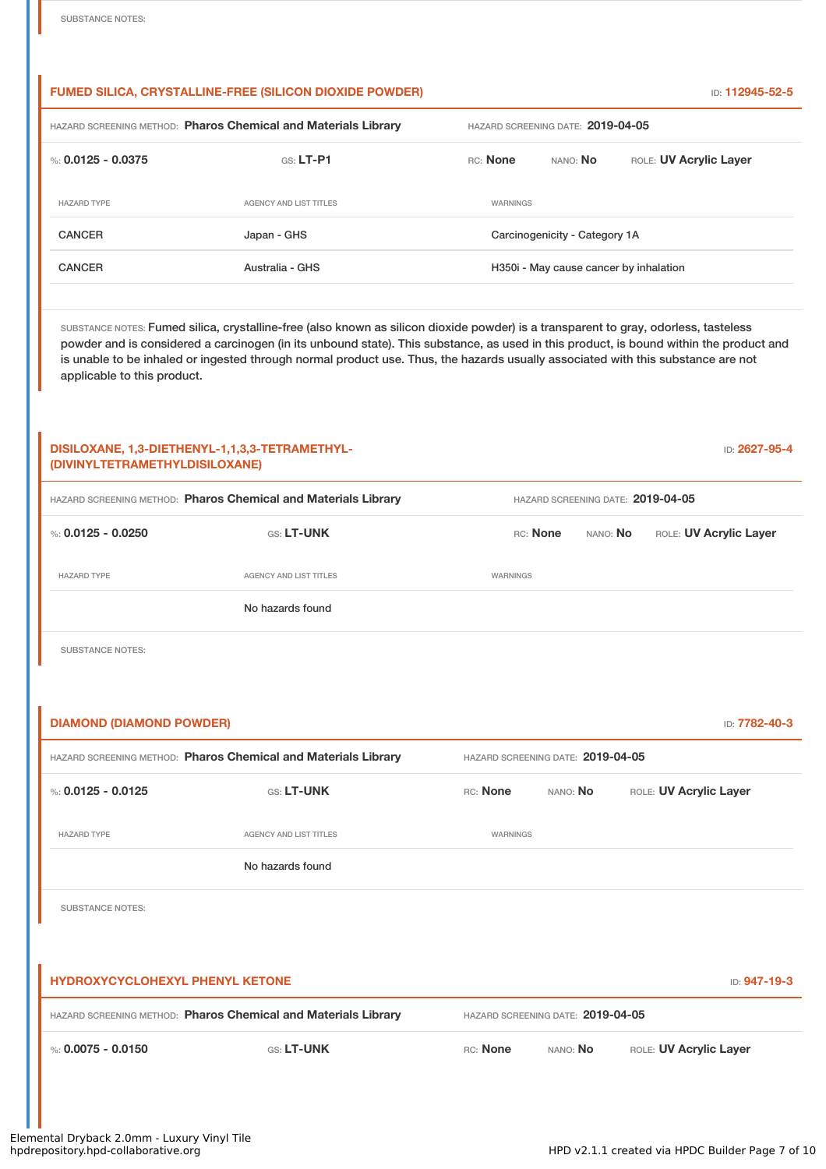#### **FUMED SILICA, CRYSTALLINE-FREE (SILICON DIOXIDE POWDER)** ID: **112945-52-5**

| HAZARD SCREENING METHOD: Pharos Chemical and Materials Library |                        | HAZARD SCREENING DATE: 2019-04-05      |                               |                        |
|----------------------------------------------------------------|------------------------|----------------------------------------|-------------------------------|------------------------|
| %: $0.0125 - 0.0375$                                           | $GS: LT-P1$            | RC: None                               | nano: <b>No</b>               | ROLE: UV Acrylic Layer |
| <b>HAZARD TYPE</b>                                             | AGENCY AND LIST TITLES | WARNINGS                               |                               |                        |
| <b>CANCER</b>                                                  | Japan - GHS            |                                        | Carcinogenicity - Category 1A |                        |
| <b>CANCER</b>                                                  | Australia - GHS        | H350i - May cause cancer by inhalation |                               |                        |
|                                                                |                        |                                        |                               |                        |

SUBSTANCE NOTES: Fumed silica, crystalline-free (also known as silicon dioxide powder) is a transparent to gray, odorless, tasteless powder and is considered a carcinogen (in its unbound state). This substance, as used in this product, is bound within the product and is unable to be inhaled or ingested through normal product use. Thus, the hazards usually associated with this substance are not applicable to this product.

| (DIVINYLTETRAMETHYLDISILOXANE)                                 | DISILOXANE, 1,3-DIETHENYL-1,1,3,3-TETRAMETHYL- |                                   |                                   |              | ID: 2627-95-4          |  |  |
|----------------------------------------------------------------|------------------------------------------------|-----------------------------------|-----------------------------------|--------------|------------------------|--|--|
| HAZARD SCREENING METHOD: Pharos Chemical and Materials Library | HAZARD SCREENING DATE: 2019-04-05              |                                   |                                   |              |                        |  |  |
| %: $0.0125 - 0.0250$                                           | GS: LT-UNK                                     |                                   | RC: None                          | NANO: No     | ROLE: UV Acrylic Layer |  |  |
| <b>HAZARD TYPE</b>                                             | AGENCY AND LIST TITLES                         | WARNINGS                          |                                   |              |                        |  |  |
|                                                                | No hazards found                               |                                   |                                   |              |                        |  |  |
| <b>SUBSTANCE NOTES:</b>                                        |                                                |                                   |                                   |              |                        |  |  |
|                                                                |                                                |                                   |                                   |              |                        |  |  |
| <b>DIAMOND (DIAMOND POWDER)</b>                                |                                                |                                   |                                   |              | ID: 7782-40-3          |  |  |
| HAZARD SCREENING METHOD: Pharos Chemical and Materials Library |                                                | HAZARD SCREENING DATE: 2019-04-05 |                                   |              |                        |  |  |
| %: $0.0125 - 0.0125$                                           | GS: LT-UNK                                     | RC: None                          | NANO: No                          |              | ROLE: UV Acrylic Layer |  |  |
| <b>HAZARD TYPE</b>                                             | AGENCY AND LIST TITLES                         | WARNINGS                          |                                   |              |                        |  |  |
|                                                                | No hazards found                               |                                   |                                   |              |                        |  |  |
| <b>SUBSTANCE NOTES:</b>                                        |                                                |                                   |                                   |              |                        |  |  |
|                                                                |                                                |                                   |                                   |              |                        |  |  |
| <b>HYDROXYCYCLOHEXYL PHENYL KETONE</b>                         |                                                |                                   |                                   | ID: 947-19-3 |                        |  |  |
| HAZARD SCREENING METHOD: Pharos Chemical and Materials Library |                                                |                                   | HAZARD SCREENING DATE: 2019-04-05 |              |                        |  |  |
| %: $0.0075 - 0.0150$                                           | GS: LT-UNK                                     | RC: None                          | NANO: No                          |              | ROLE: UV Acrylic Layer |  |  |
|                                                                |                                                |                                   |                                   |              |                        |  |  |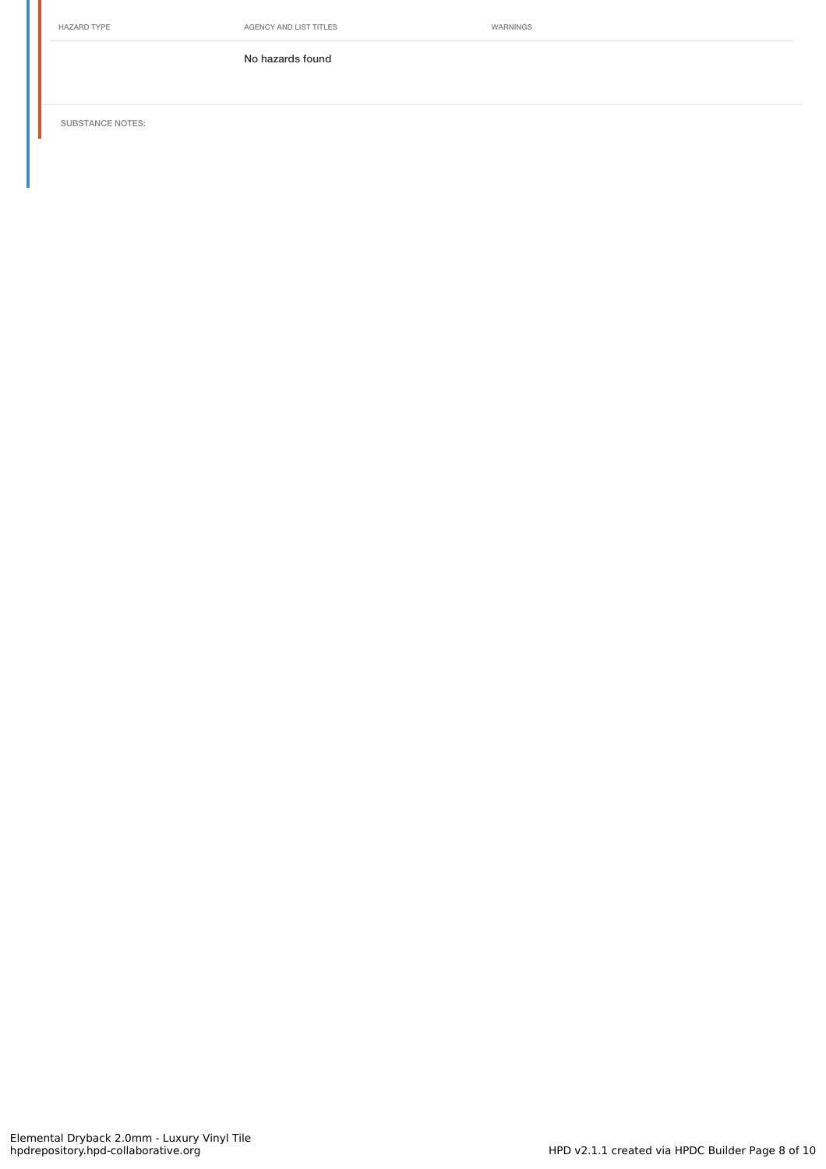HAZARD TYPE **AGENCY AND LIST TITLES** WARNINGS

No hazards found

SUBSTANCE NOTES: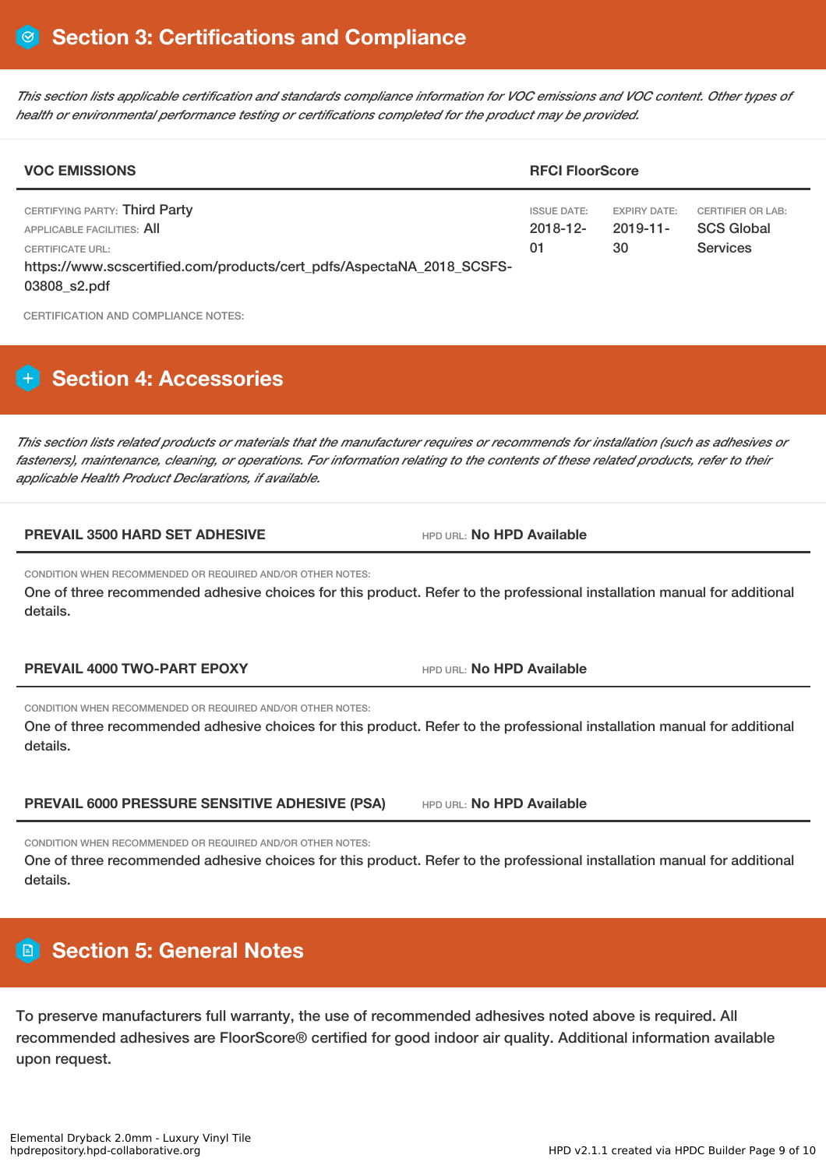This section lists applicable certification and standards compliance information for VOC emissions and VOC content. Other types of *health or environmental performance testing or certifications completed for the product may be provided.*

| <b>VOC EMISSIONS</b>                                                                                                                                                     |                                         | <b>RFCI FloorScore</b>            |                                                                  |  |  |  |
|--------------------------------------------------------------------------------------------------------------------------------------------------------------------------|-----------------------------------------|-----------------------------------|------------------------------------------------------------------|--|--|--|
| CERTIFYING PARTY: Third Party<br>APPLICABLE FACILITIES: AII<br>CERTIFICATE URL:<br>https://www.scscertified.com/products/cert_pdfs/AspectaNA_2018_SCSFS-<br>03808_s2.pdf | <b>ISSUE DATE:</b><br>$2018 - 12$<br>01 | EXPIRY DATE:<br>$2019 - 11$<br>30 | <b>CERTIFIER OR LAB:</b><br><b>SCS Global</b><br><b>Services</b> |  |  |  |

CERTIFICATION AND COMPLIANCE NOTES:

## **H** Section 4: Accessories

This section lists related products or materials that the manufacturer requires or recommends for installation (such as adhesives or fasteners), maintenance, cleaning, or operations. For information relating to the contents of these related products, refer to their *applicable Health Product Declarations, if available.*

#### **PREVAIL 3500 HARD SET ADHESIVE** HPD URL: **No HPD Available**

CONDITION WHEN RECOMMENDED OR REQUIRED AND/OR OTHER NOTES:

One of three recommended adhesive choices for this product. Refer to the professional installation manual for additional details.

**PREVAIL 4000 TWO-PART EPOXY** HPD URL: **No HPD Available**

CONDITION WHEN RECOMMENDED OR REQUIRED AND/OR OTHER NOTES:

One of three recommended adhesive choices for this product. Refer to the professional installation manual for additional details.

**PREVAIL 6000 PRESSURE SENSITIVE ADHESIVE (PSA)** HPD URL: **No HPD Available**

CONDITION WHEN RECOMMENDED OR REQUIRED AND/OR OTHER NOTES:

One of three recommended adhesive choices for this product. Refer to the professional installation manual for additional details.

## **Section 5: General Notes**

To preserve manufacturers full warranty, the use of recommended adhesives noted above is required. All recommended adhesives are FloorScore® certified for good indoor air quality. Additional information available upon request.